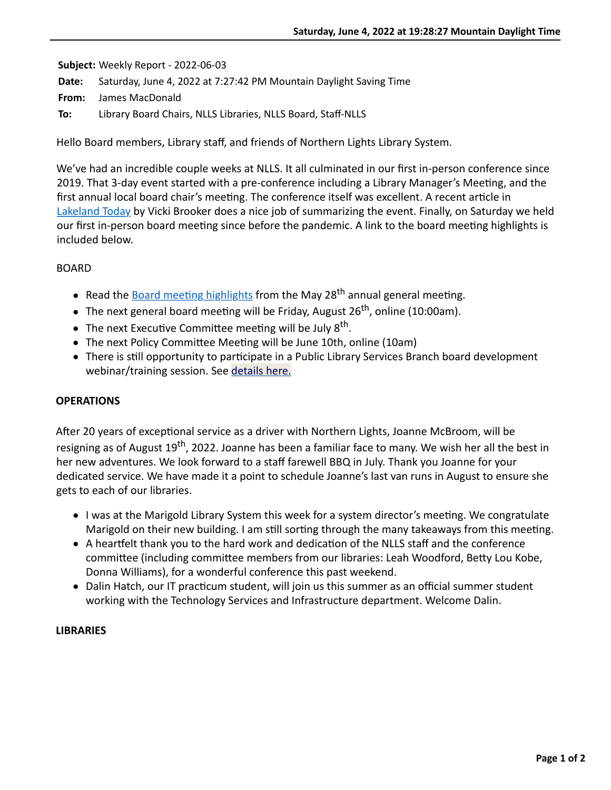**Subject:** Weekly Report - 2022-06-03

**Date:** Saturday, June 4, 2022 at 7:27:42 PM Mountain Daylight Saving Time

**From:** James MacDonald

**To:** Library Board Chairs, NLLS Libraries, NLLS Board, Staff-NLLS

Hello Board members, Library staff, and friends of Northern Lights Library System.

We've had an incredible couple weeks at NLLS. It all culminated in our first in-person conference since 2019. That 3-day event started with a pre-conference including a Library Manager's Meeting, and the first annual local board chair's meeting. The conference itself was excellent. A recent article in [Lakeland Today](https://www.lakelandtoday.ca/local-news/first-in-person-nlls-conference-since-2019-sparks-new-ideas-for-systems-libraries-5439021?fbclid=IwAR2aJHH1sSE7vgnLgsA4Ektyp4eA6kJz98JQ87JMYJdxtEkccHINxjD6114) by Vicki Brooker does a nice job of summarizing the event. Finally, on Saturday we held our first in-person board meeting since before the pandemic. A link to the board meeting highlights is included below.

### BOARD

- Read the **Board meeting highlights** from the May 28<sup>th</sup> annual general meeting.
- The next general board meeting will be Friday, August 26<sup>th</sup>, online (10:00am).
- The next Executive Committee meeting will be July  $8^{th}$ .
- The next Policy Committee Meeting will be June 10th, online (10am)
- There is still opportunity to participate in a Public Library Services Branch board development webinar/training session. See [details here.](https://nlls-my.sharepoint.com/:w:/g/personal/jmacdonald_nlls_ab_ca/EcxIm4fIsMZPt5-Ky-Cl4v8B6fCs5BtHi7WKo0sSai4MqQ?e=5xYSxK)

### **OPERATIONS**

After 20 years of exceptional service as a driver with Northern Lights, Joanne McBroom, will be resigning as of August 19<sup>th</sup>, 2022. Joanne has been a familiar face to many. We wish her all the best in her new adventures. We look forward to a staff farewell BBQ in July. Thank you Joanne for your dedicated service. We have made it a point to schedule Joanne's last van runs in August to ensure she gets to each of our libraries.

- I was at the Marigold Library System this week for a system director's meeting. We congratulate Marigold on their new building. I am still sorting through the many takeaways from this meeting.
- A heartfelt thank you to the hard work and dedication of the NLLS staff and the conference committee (including committee members from our libraries: Leah Woodford, Betty Lou Kobe, Donna Williams), for a wonderful conference this past weekend.
- Dalin Hatch, our IT practicum student, will join us this summer as an official summer student working with the Technology Services and Infrastructure department. Welcome Dalin.

#### **LIBRARIES**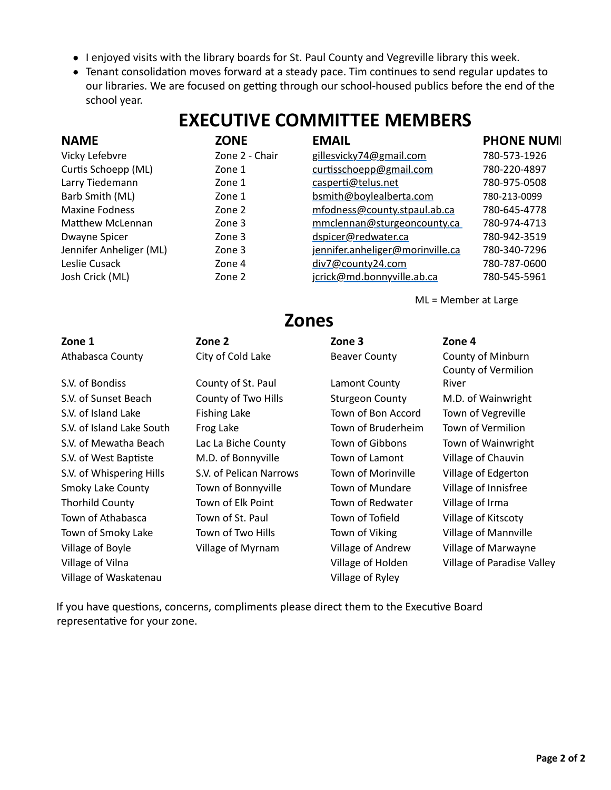- I enjoyed visits with the library boards for St. Paul County and Vegreville library this week.
- Tenant consolidation moves forward at a steady pace. Tim continues to send regular updates to our libraries. We are focused on getting through our school-housed publics before the end of the school year.

# **EXECUTIVE COMMITTEE MEMBERS**

| <b>NAME</b>             | <b>ZONE</b>    | <b>EMAIL</b>                     | <b>PHONE NUMI</b> |
|-------------------------|----------------|----------------------------------|-------------------|
| Vicky Lefebvre          | Zone 2 - Chair | gillesvicky74@gmail.com          | 780-573-1926      |
| Curtis Schoepp (ML)     | Zone 1         | curtisschoepp@gmail.com          | 780-220-4897      |
| Larry Tiedemann         | Zone 1         | casperti@telus.net               | 780-975-0508      |
| Barb Smith (ML)         | Zone 1         | bsmith@boylealberta.com          | 780-213-0099      |
| <b>Maxine Fodness</b>   | Zone 2         | mfodness@county.stpaul.ab.ca     | 780-645-4778      |
| Matthew McLennan        | Zone 3         | mmclennan@sturgeoncounty.ca      | 780-974-4713      |
| Dwayne Spicer           | Zone 3         | dspicer@redwater.ca              | 780-942-3519      |
| Jennifer Anheliger (ML) | Zone 3         | jennifer.anheliger@morinville.ca | 780-340-7296      |
| Leslie Cusack           | Zone 4         | div7@county24.com                | 780-787-0600      |
| Josh Crick (ML)         | Zone 2         | jcrick@md.bonnyville.ab.ca       | 780-545-5961      |

ML = Member at Large

## **Zones**

| Zone 1                    | Zone 2                  | Zone 3                 | Zone 4                                   |
|---------------------------|-------------------------|------------------------|------------------------------------------|
| Athabasca County          | City of Cold Lake       | <b>Beaver County</b>   | County of Minburn<br>County of Vermilion |
| S.V. of Bondiss           | County of St. Paul      | Lamont County          | River                                    |
| S.V. of Sunset Beach      | County of Two Hills     | <b>Sturgeon County</b> | M.D. of Wainwright                       |
| S.V. of Island Lake       | <b>Fishing Lake</b>     | Town of Bon Accord     | Town of Vegreville                       |
| S.V. of Island Lake South | Frog Lake               | Town of Bruderheim     | Town of Vermilion                        |
| S.V. of Mewatha Beach     | Lac La Biche County     | Town of Gibbons        | Town of Wainwright                       |
| S.V. of West Baptiste     | M.D. of Bonnyville      | Town of Lamont         | Village of Chauvin                       |
| S.V. of Whispering Hills  | S.V. of Pelican Narrows | Town of Morinville     | Village of Edgerton                      |
| <b>Smoky Lake County</b>  | Town of Bonnyville      | Town of Mundare        | Village of Innisfree                     |
| <b>Thorhild County</b>    | Town of Elk Point       | Town of Redwater       | Village of Irma                          |
| Town of Athabasca         | Town of St. Paul        | Town of Tofield        | Village of Kitscoty                      |
| Town of Smoky Lake        | Town of Two Hills       | Town of Viking         | <b>Village of Mannville</b>              |
| Village of Boyle          | Village of Myrnam       | Village of Andrew      | Village of Marwayne                      |
| Village of Vilna          |                         | Village of Holden      | Village of Paradise Valley               |
| Village of Waskatenau     |                         | Village of Ryley       |                                          |

If you have questions, concerns, compliments please direct them to the Executive Board representative for your zone.